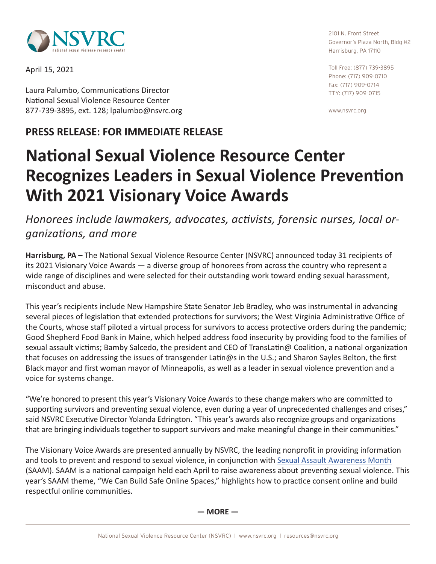

April 15, 2021

Laura Palumbo, Communications Director National Sexual Violence Resource Center 877-739-3895, ext. 128; lpalumbo[@nsvrc.org](mailto:lpalumbo%40nsvrc.org?subject=SAAM%20press%20release)

## **PRESS RELEASE: FOR IMMEDIATE RELEASE**

2101 N. Front Street Governor's Plaza North, Bldg #2 Harrisburg, PA 17110

Toll Free: (877) 739-3895 Phone: (717) 909-0710 Fax: (717) 909-0714 TTY: (717) 909-0715

www.nsvrc.org

## **National Sexual Violence Resource Center Recognizes Leaders in Sexual Violence Prevention With 2021 Visionary Voice Awards**

*Honorees include lawmakers, advocates, activists, forensic nurses, local organizations, and more* 

**Harrisburg, PA** – The National Sexual Violence Resource Center (NSVRC) announced today 31 recipients of its 2021 Visionary Voice Awards — a diverse group of honorees from across the country who represent a wide range of disciplines and were selected for their outstanding work toward ending sexual harassment, misconduct and abuse.

This year's recipients include New Hampshire State Senator Jeb Bradley, who was instrumental in advancing several pieces of legislation that extended protections for survivors; the West Virginia Administrative Office of the Courts, whose staff piloted a virtual process for survivors to access protective orders during the pandemic; Good Shepherd Food Bank in Maine, which helped address food insecurity by providing food to the families of sexual assault victims; Bamby Salcedo, the president and CEO of TransLatin@ Coalition, a national organization that focuses on addressing the issues of transgender Latin@s in the U.S.; and Sharon Sayles Belton, the first Black mayor and first woman mayor of Minneapolis, as well as a leader in sexual violence prevention and a voice for systems change.

"We're honored to present this year's Visionary Voice Awards to these change makers who are committed to supporting survivors and preventing sexual violence, even during a year of unprecedented challenges and crises," said NSVRC Executive Director Yolanda Edrington. "This year's awards also recognize groups and organizations that are bringing individuals together to support survivors and make meaningful change in their communities."

The Visionary Voice Awards are presented annually by NSVRC, the leading nonprofit in providing information and tools to prevent and respond to sexual violence, in conjunction with [Sexual Assault Awareness Month](http://www.nsvrc.org/saam/) (SAAM). SAAM is a national campaign held each April to raise awareness about preventing sexual violence. This year's SAAM theme, "We Can Build Safe Online Spaces," highlights how to practice consent online and build respectful online communities.

**— MORE —**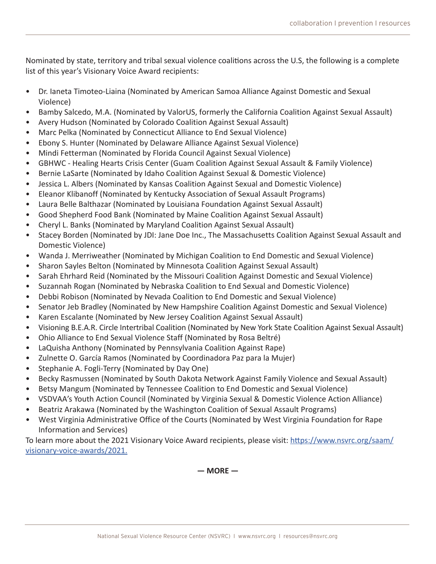Nominated by state, territory and tribal sexual violence coalitions across the U.S, the following is a complete list of this year's Visionary Voice Award recipients:

- Dr. Ianeta Timoteo-Liaina (Nominated by American Samoa Alliance Against Domestic and Sexual Violence)
- Bamby Salcedo, M.A. (Nominated by ValorUS, formerly the California Coalition Against Sexual Assault)
- Avery Hudson (Nominated by Colorado Coalition Against Sexual Assault)
- Marc Pelka (Nominated by Connecticut Alliance to End Sexual Violence)
- Ebony S. Hunter (Nominated by Delaware Alliance Against Sexual Violence)
- Mindi Fetterman (Nominated by Florida Council Against Sexual Violence)
- GBHWC Healing Hearts Crisis Center (Guam Coalition Against Sexual Assault & Family Violence)
- Bernie LaSarte (Nominated by Idaho Coalition Against Sexual & Domestic Violence)
- Jessica L. Albers (Nominated by Kansas Coalition Against Sexual and Domestic Violence)
- Eleanor Klibanoff (Nominated by Kentucky Association of Sexual Assault Programs)
- Laura Belle Balthazar (Nominated by Louisiana Foundation Against Sexual Assault)
- Good Shepherd Food Bank (Nominated by Maine Coalition Against Sexual Assault)
- Cheryl L. Banks (Nominated by Maryland Coalition Against Sexual Assault)
- Stacey Borden (Nominated by JDI: Jane Doe Inc., The Massachusetts Coalition Against Sexual Assault and Domestic Violence)
- Wanda J. Merriweather (Nominated by Michigan Coalition to End Domestic and Sexual Violence)
- Sharon Sayles Belton (Nominated by Minnesota Coalition Against Sexual Assault)
- Sarah Ehrhard Reid (Nominated by the Missouri Coalition Against Domestic and Sexual Violence)
- Suzannah Rogan (Nominated by Nebraska Coalition to End Sexual and Domestic Violence)
- Debbi Robison (Nominated by Nevada Coalition to End Domestic and Sexual Violence)
- Senator Jeb Bradley (Nominated by New Hampshire Coalition Against Domestic and Sexual Violence)
- Karen Escalante (Nominated by New Jersey Coalition Against Sexual Assault)
- Visioning B.E.A.R. Circle Intertribal Coalition (Nominated by New York State Coalition Against Sexual Assault)
- Ohio Alliance to End Sexual Violence Staff (Nominated by Rosa Beltré)
- LaQuisha Anthony (Nominated by Pennsylvania Coalition Against Rape)
- Zulnette O. García Ramos (Nominated by Coordinadora Paz para la Mujer)
- Stephanie A. Fogli-Terry (Nominated by Day One)
- Becky Rasmussen (Nominated by South Dakota Network Against Family Violence and Sexual Assault)
- Betsy Mangum (Nominated by Tennessee Coalition to End Domestic and Sexual Violence)
- VSDVAA's Youth Action Council (Nominated by Virginia Sexual & Domestic Violence Action Alliance)
- Beatriz Arakawa (Nominated by the Washington Coalition of Sexual Assault Programs)
- West Virginia Administrative Office of the Courts (Nominated by West Virginia Foundation for Rape Information and Services)

To learn more about the 2021 Visionary Voice Award recipients, please visit: [https://www.nsvrc.org/saam/](https://www.nsvrc.org/saam/visionary-voice-awards/2021) [visionary-voice-awards/2021.](https://www.nsvrc.org/saam/visionary-voice-awards/2021)

**— MORE —**